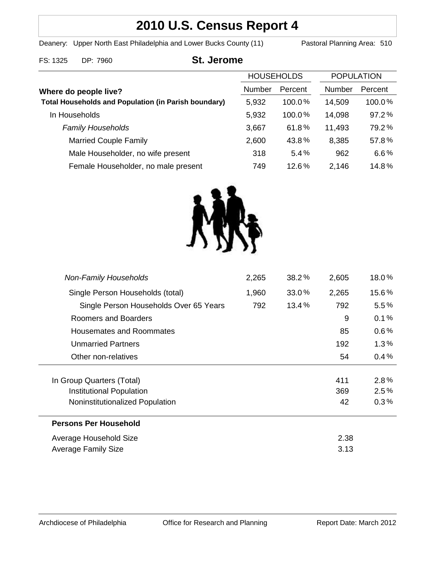# **2010 U.S. Census Report 4**

Deanery: Upper North East Philadelphia and Lower Bucks County (11) Pastoral Planning Area: 510

### FS: 1325 DP: 7960 **St. Jerome**

|                                                             | <b>HOUSEHOLDS</b> |           | <b>POPULATION</b> |         |
|-------------------------------------------------------------|-------------------|-----------|-------------------|---------|
| Where do people live?                                       | Number            | Percent   | Number            | Percent |
| <b>Total Households and Population (in Parish boundary)</b> | 5,932             | $100.0\%$ | 14,509            | 100.0%  |
| In Households                                               | 5,932             | 100.0%    | 14,098            | 97.2%   |
| <b>Family Households</b>                                    | 3,667             | 61.8%     | 11,493            | 79.2%   |
| <b>Married Couple Family</b>                                | 2,600             | 43.8%     | 8,385             | 57.8%   |
| Male Householder, no wife present                           | 318               | 5.4%      | 962               | 6.6%    |
| Female Householder, no male present                         | 749               | 12.6%     | 2,146             | 14.8%   |



| <b>Average Family Size</b>             |       |          | 3.13  |         |
|----------------------------------------|-------|----------|-------|---------|
| Average Household Size                 |       |          | 2.38  |         |
| <b>Persons Per Household</b>           |       |          |       |         |
| Noninstitutionalized Population        |       |          | 42    | 0.3%    |
| Institutional Population               |       |          | 369   | 2.5%    |
| In Group Quarters (Total)              |       |          | 411   | 2.8%    |
| Other non-relatives                    |       |          | 54    | 0.4%    |
| <b>Unmarried Partners</b>              |       |          | 192   | 1.3%    |
| <b>Housemates and Roommates</b>        |       |          | 85    | $0.6\%$ |
| Roomers and Boarders                   |       |          | 9     | $0.1\%$ |
| Single Person Households Over 65 Years | 792   | $13.4\%$ | 792   | $5.5\%$ |
| Single Person Households (total)       | 1,960 | 33.0%    | 2,265 | 15.6%   |
| <b>Non-Family Households</b>           | 2,265 | 38.2%    | 2,605 | 18.0%   |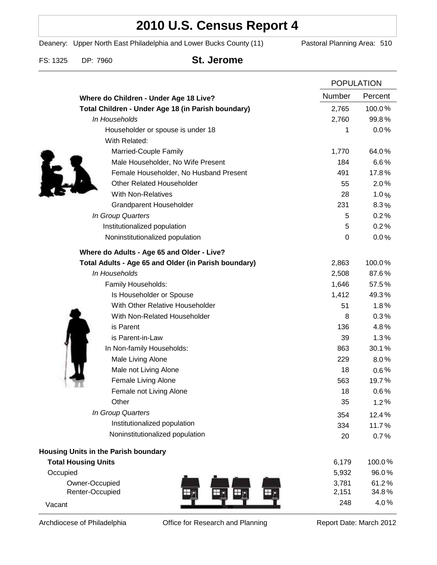## **2010 U.S. Census Report 4**

Deanery: Upper North East Philadelphia and Lower Bucks County (11) Pastoral Planning Area: 510

FS: 1325 DP: 7960 **St. Jerome**

|                                                      | <b>POPULATION</b> |         |
|------------------------------------------------------|-------------------|---------|
| Where do Children - Under Age 18 Live?               | <b>Number</b>     | Percent |
| Total Children - Under Age 18 (in Parish boundary)   | 2,765             | 100.0%  |
| In Households                                        | 2,760             | 99.8%   |
| Householder or spouse is under 18                    | 1                 | 0.0%    |
| With Related:                                        |                   |         |
| Married-Couple Family                                | 1,770             | 64.0%   |
| Male Householder, No Wife Present                    | 184               | 6.6%    |
| Female Householder, No Husband Present               | 491               | 17.8%   |
| <b>Other Related Householder</b>                     | 55                | 2.0%    |
| <b>With Non-Relatives</b>                            | 28                | 1.0%    |
| <b>Grandparent Householder</b>                       | 231               | 8.3%    |
| In Group Quarters                                    | 5                 | 0.2%    |
| Institutionalized population                         | 5                 | 0.2%    |
| Noninstitutionalized population                      | $\boldsymbol{0}$  | 0.0%    |
| Where do Adults - Age 65 and Older - Live?           |                   |         |
| Total Adults - Age 65 and Older (in Parish boundary) | 2,863             | 100.0%  |
| In Households                                        | 2,508             | 87.6%   |
| Family Households:                                   | 1,646             | 57.5%   |
| Is Householder or Spouse                             | 1,412             | 49.3%   |
| With Other Relative Householder                      | 51                | 1.8%    |
| With Non-Related Householder                         | 8                 | 0.3%    |
| is Parent                                            | 136               | 4.8%    |
| is Parent-in-Law                                     | 39                | 1.3%    |
| In Non-family Households:                            | 863               | 30.1%   |
| Male Living Alone                                    | 229               | $8.0\%$ |
| Male not Living Alone                                | 18                | $0.6\%$ |
| Female Living Alone                                  | 563               | 19.7%   |
| Female not Living Alone                              | 18                | 0.6%    |
| Other                                                | 35                | 1.2%    |
| In Group Quarters                                    | 354               | 12.4%   |
| Institutionalized population                         | 334               | 11.7%   |
| Noninstitutionalized population                      | 20                | 0.7%    |
| <b>Housing Units in the Parish boundary</b>          |                   |         |
| <b>Total Housing Units</b>                           | 6,179             | 100.0%  |
| Occupied                                             | 5,932             | 96.0%   |
| Owner-Occupied                                       | 3,781             | 61.2%   |
| Renter-Occupied                                      | 2,151             | 34.8%   |
| Vacant                                               | 248               | 4.0%    |

Archdiocese of Philadelphia **Office for Research and Planning** Report Date: March 2012